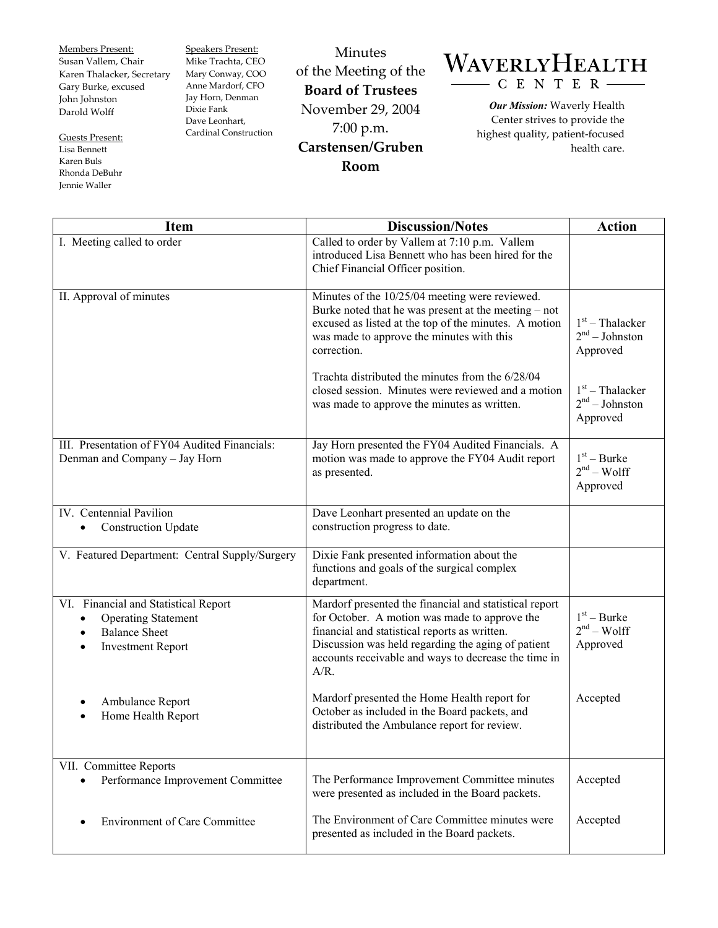Members Present: Susan Vallem, Chair Karen Thalacker, Secretary Gary Burke, excused John Johnston Darold Wolff

Guests Present: Lisa Bennett Karen Buls Rhonda DeBuhr Jennie Waller

Speakers Present: Mike Trachta, CEO Mary Conway, COO Anne Mardorf, CFO Jay Horn, Denman Dixie Fank Dave Leonhart, Cardinal Construction

Minutes of the Meeting of the **Board of Trustees**  November 29, 2004 7:00 p.m. **Carstensen/Gruben Room** 

## WAVERLYHEALTH CENTER-

*Our Mission:* Waverly Health Center strives to provide the highest quality, patient-focused health care.

| <b>Item</b>                                                                                                            | <b>Discussion/Notes</b>                                                                                                                                                                                                                                                           | <b>Action</b>                                     |
|------------------------------------------------------------------------------------------------------------------------|-----------------------------------------------------------------------------------------------------------------------------------------------------------------------------------------------------------------------------------------------------------------------------------|---------------------------------------------------|
| I. Meeting called to order                                                                                             | Called to order by Vallem at 7:10 p.m. Vallem<br>introduced Lisa Bennett who has been hired for the<br>Chief Financial Officer position.                                                                                                                                          |                                                   |
| II. Approval of minutes                                                                                                | Minutes of the 10/25/04 meeting were reviewed.<br>Burke noted that he was present at the meeting – not<br>excused as listed at the top of the minutes. A motion<br>was made to approve the minutes with this<br>correction.                                                       | $1st$ – Thalacker<br>$2nd - Johnston$<br>Approved |
|                                                                                                                        | Trachta distributed the minutes from the 6/28/04<br>closed session. Minutes were reviewed and a motion<br>was made to approve the minutes as written.                                                                                                                             | $1st$ – Thalacker<br>$2nd - Johnston$<br>Approved |
| III. Presentation of FY04 Audited Financials:<br>Denman and Company - Jay Horn                                         | Jay Horn presented the FY04 Audited Financials. A<br>motion was made to approve the FY04 Audit report<br>as presented.                                                                                                                                                            | $1st - Burke$<br>$2nd - Wolf$<br>Approved         |
| IV. Centennial Pavilion<br><b>Construction Update</b>                                                                  | Dave Leonhart presented an update on the<br>construction progress to date.                                                                                                                                                                                                        |                                                   |
| V. Featured Department: Central Supply/Surgery                                                                         | Dixie Fank presented information about the<br>functions and goals of the surgical complex<br>department.                                                                                                                                                                          |                                                   |
| VI. Financial and Statistical Report<br><b>Operating Statement</b><br><b>Balance Sheet</b><br><b>Investment Report</b> | Mardorf presented the financial and statistical report<br>for October. A motion was made to approve the<br>financial and statistical reports as written.<br>Discussion was held regarding the aging of patient<br>accounts receivable and ways to decrease the time in<br>$A/R$ . | $1st - Burke$<br>$2nd - Wolf$<br>Approved         |
| Ambulance Report<br>Home Health Report                                                                                 | Mardorf presented the Home Health report for<br>October as included in the Board packets, and<br>distributed the Ambulance report for review.                                                                                                                                     | Accepted                                          |
| VII. Committee Reports<br>Performance Improvement Committee                                                            | The Performance Improvement Committee minutes<br>were presented as included in the Board packets.                                                                                                                                                                                 | Accepted                                          |
| <b>Environment of Care Committee</b>                                                                                   | The Environment of Care Committee minutes were<br>presented as included in the Board packets.                                                                                                                                                                                     | Accepted                                          |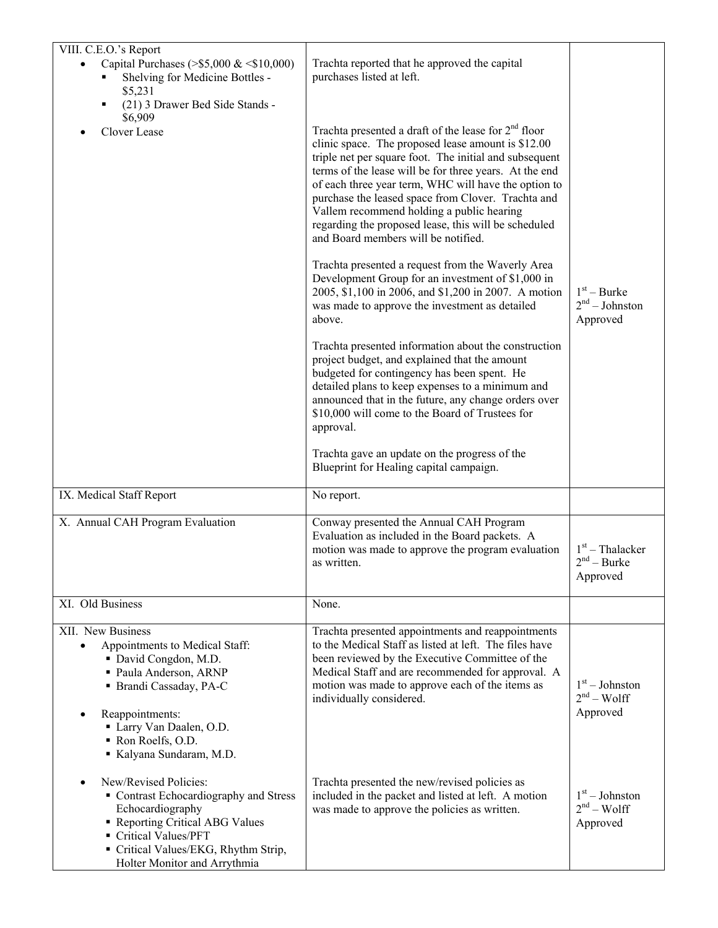| VIII. C.E.O.'s Report<br>Capital Purchases (> $$5,000 \& $10,000$ )<br>Shelving for Medicine Bottles -<br>\$5,231                                                                                                          | Trachta reported that he approved the capital<br>purchases listed at left.                                                                                                                                                                                                                                                                                                                                                                                                                                                                                                                                                                                                                                                                                                                                                                                                                                                                                                                                                                                                                                                                                         |                                                |
|----------------------------------------------------------------------------------------------------------------------------------------------------------------------------------------------------------------------------|--------------------------------------------------------------------------------------------------------------------------------------------------------------------------------------------------------------------------------------------------------------------------------------------------------------------------------------------------------------------------------------------------------------------------------------------------------------------------------------------------------------------------------------------------------------------------------------------------------------------------------------------------------------------------------------------------------------------------------------------------------------------------------------------------------------------------------------------------------------------------------------------------------------------------------------------------------------------------------------------------------------------------------------------------------------------------------------------------------------------------------------------------------------------|------------------------------------------------|
| (21) 3 Drawer Bed Side Stands -<br>٠<br>\$6,909<br>Clover Lease                                                                                                                                                            | Trachta presented a draft of the lease for 2 <sup>nd</sup> floor<br>clinic space. The proposed lease amount is \$12.00<br>triple net per square foot. The initial and subsequent<br>terms of the lease will be for three years. At the end<br>of each three year term, WHC will have the option to<br>purchase the leased space from Clover. Trachta and<br>Vallem recommend holding a public hearing<br>regarding the proposed lease, this will be scheduled<br>and Board members will be notified.<br>Trachta presented a request from the Waverly Area<br>Development Group for an investment of \$1,000 in<br>2005, \$1,100 in 2006, and \$1,200 in 2007. A motion<br>was made to approve the investment as detailed<br>above.<br>Trachta presented information about the construction<br>project budget, and explained that the amount<br>budgeted for contingency has been spent. He<br>detailed plans to keep expenses to a minimum and<br>announced that in the future, any change orders over<br>\$10,000 will come to the Board of Trustees for<br>approval.<br>Trachta gave an update on the progress of the<br>Blueprint for Healing capital campaign. | $1st - Burke$<br>$2nd - Johnston$<br>Approved  |
| IX. Medical Staff Report                                                                                                                                                                                                   | No report.                                                                                                                                                                                                                                                                                                                                                                                                                                                                                                                                                                                                                                                                                                                                                                                                                                                                                                                                                                                                                                                                                                                                                         |                                                |
| X. Annual CAH Program Evaluation                                                                                                                                                                                           | Conway presented the Annual CAH Program<br>Evaluation as included in the Board packets. A<br>motion was made to approve the program evaluation<br>as written.                                                                                                                                                                                                                                                                                                                                                                                                                                                                                                                                                                                                                                                                                                                                                                                                                                                                                                                                                                                                      | $1st$ – Thalacker<br>$2nd - Burke$<br>Approved |
| XI. Old Business                                                                                                                                                                                                           | None.                                                                                                                                                                                                                                                                                                                                                                                                                                                                                                                                                                                                                                                                                                                                                                                                                                                                                                                                                                                                                                                                                                                                                              |                                                |
| XII. New Business<br>Appointments to Medical Staff:<br>David Congdon, M.D.<br>· Paula Anderson, ARNP<br>· Brandi Cassaday, PA-C<br>Reappointments:<br>Larry Van Daalen, O.D.<br>Ron Roelfs, O.D.<br>Kalyana Sundaram, M.D. | Trachta presented appointments and reappointments<br>to the Medical Staff as listed at left. The files have<br>been reviewed by the Executive Committee of the<br>Medical Staff and are recommended for approval. A<br>motion was made to approve each of the items as<br>individually considered.                                                                                                                                                                                                                                                                                                                                                                                                                                                                                                                                                                                                                                                                                                                                                                                                                                                                 | $1st - Johnston$<br>$2nd - Wolf$<br>Approved   |
| New/Revised Policies:<br>• Contrast Echocardiography and Stress<br>Echocardiography<br>Reporting Critical ABG Values<br>Critical Values/PFT<br>• Critical Values/EKG, Rhythm Strip,<br>Holter Monitor and Arrythmia        | Trachta presented the new/revised policies as<br>included in the packet and listed at left. A motion<br>was made to approve the policies as written.                                                                                                                                                                                                                                                                                                                                                                                                                                                                                                                                                                                                                                                                                                                                                                                                                                                                                                                                                                                                               | $1st - Johnston$<br>$2nd - Wolf$<br>Approved   |